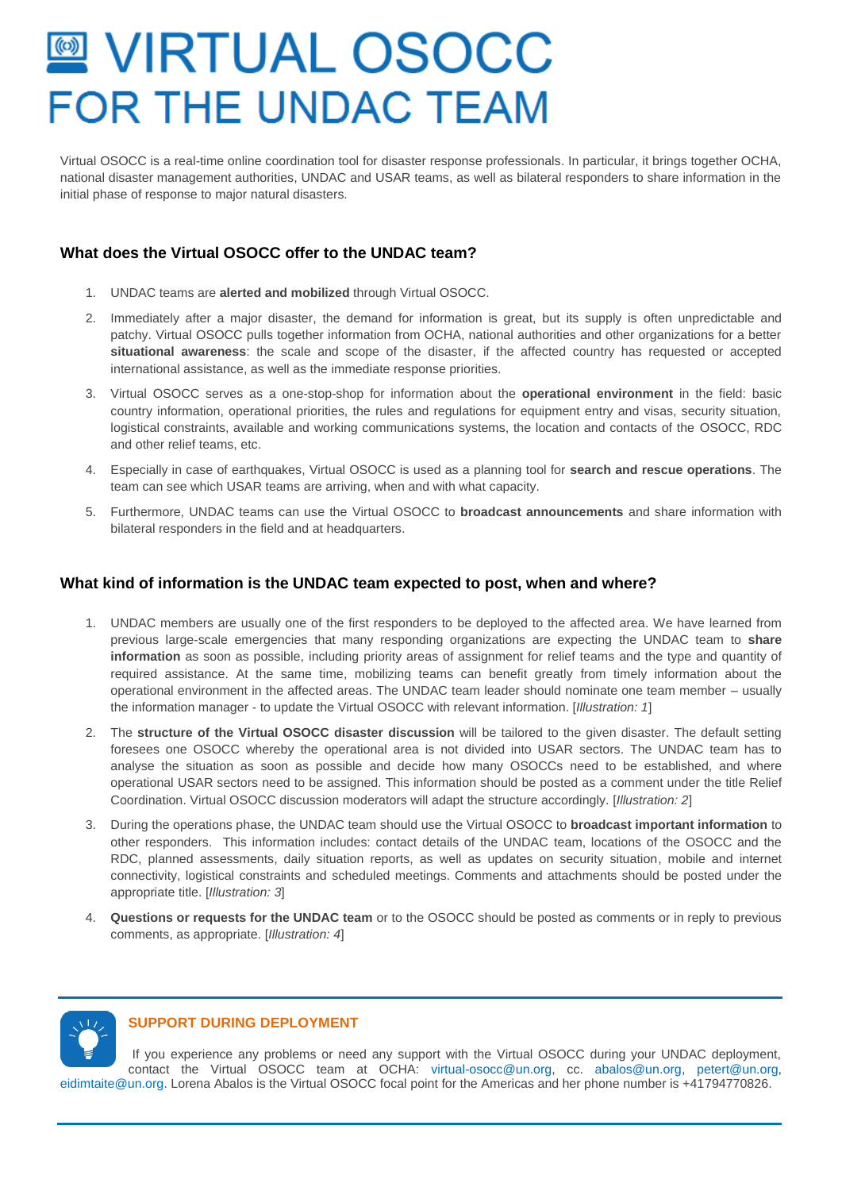# **■ VIRTUAL OSOCC FOR THE UNDAC TEAM**

Virtual OSOCC is a real-time online coordination tool for disaster response professionals. In particular, it brings together OCHA, national disaster management authorities, UNDAC and USAR teams, as well as bilateral responders to share information in the initial phase of response to major natural disasters.

## **What does the Virtual OSOCC offer to the UNDAC team?**

- 1. UNDAC teams are **alerted and mobilized** through Virtual OSOCC.
- 2. Immediately after a major disaster, the demand for information is great, but its supply is often unpredictable and patchy. Virtual OSOCC pulls together information from OCHA, national authorities and other organizations for a better **situational awareness**: the scale and scope of the disaster, if the affected country has requested or accepted international assistance, as well as the immediate response priorities.
- 3. Virtual OSOCC serves as a one-stop-shop for information about the **operational environment** in the field: basic country information, operational priorities, the rules and regulations for equipment entry and visas, security situation, logistical constraints, available and working communications systems, the location and contacts of the OSOCC, RDC and other relief teams, etc.
- 4. Especially in case of earthquakes, Virtual OSOCC is used as a planning tool for **search and rescue operations**. The team can see which USAR teams are arriving, when and with what capacity.
- 5. Furthermore, UNDAC teams can use the Virtual OSOCC to **broadcast announcements** and share information with bilateral responders in the field and at headquarters.

### **What kind of information is the UNDAC team expected to post, when and where?**

- 1. UNDAC members are usually one of the first responders to be deployed to the affected area. We have learned from previous large-scale emergencies that many responding organizations are expecting the UNDAC team to **share information** as soon as possible, including priority areas of assignment for relief teams and the type and quantity of required assistance. At the same time, mobilizing teams can benefit greatly from timely information about the operational environment in the affected areas. The UNDAC team leader should nominate one team member – usually the information manager - to update the Virtual OSOCC with relevant information. [*Illustration: 1*]
- 2. The **structure of the Virtual OSOCC disaster discussion** will be tailored to the given disaster. The default setting foresees one OSOCC whereby the operational area is not divided into USAR sectors. The UNDAC team has to analyse the situation as soon as possible and decide how many OSOCCs need to be established, and where operational USAR sectors need to be assigned. This information should be posted as a comment under the title Relief Coordination. Virtual OSOCC discussion moderators will adapt the structure accordingly. [*Illustration: 2*]
- 3. During the operations phase, the UNDAC team should use the Virtual OSOCC to **broadcast important information** to other responders. This information includes: contact details of the UNDAC team, locations of the OSOCC and the RDC, planned assessments, daily situation reports, as well as updates on security situation, mobile and internet connectivity, logistical constraints and scheduled meetings. Comments and attachments should be posted under the appropriate title. [*Illustration: 3*]
- 4. **Questions or requests for the UNDAC team** or to the OSOCC should be posted as comments or in reply to previous comments, as appropriate. [*Illustration: 4*]



#### **SUPPORT DURING DEPLOYMENT**

If you experience any problems or need any support with the Virtual OSOCC during your UNDAC deployment, contact the Virtual OSOCC team at OCHA: [virtual-osocc@un.org,](mailto:virtual-osocc@un.org) cc. [abalos@un.org,](mailto:Abalos@un.org) petert@un.org, eidimtaite@un.org. Lorena Abalos is the Virtual OSOCC focal point for the Americas and her phone number is +41794770826.